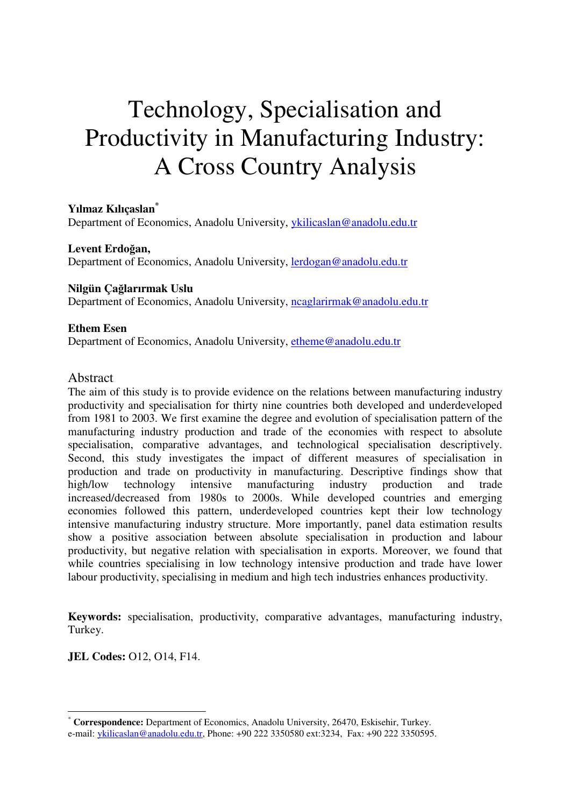# Technology, Specialisation and Productivity in Manufacturing Industry: A Cross Country Analysis

**Yılmaz Kılıçaslan\*** Department of Economics, Anadolu University, ykilicaslan@anadolu.edu.tr

**Levent Erdo**ğ**an,**  Department of Economics, Anadolu University, lerdogan@anadolu.edu.tr

# **Nilgün Ça**ğ**larırmak Uslu**

Department of Economics, Anadolu University, neaglarirmak@anadolu.edu.tr

#### **Ethem Esen**

Department of Economics, Anadolu University, etheme@anadolu.edu.tr

## Abstract

The aim of this study is to provide evidence on the relations between manufacturing industry productivity and specialisation for thirty nine countries both developed and underdeveloped from 1981 to 2003. We first examine the degree and evolution of specialisation pattern of the manufacturing industry production and trade of the economies with respect to absolute specialisation, comparative advantages, and technological specialisation descriptively. Second, this study investigates the impact of different measures of specialisation in production and trade on productivity in manufacturing. Descriptive findings show that high/low technology intensive manufacturing industry production and trade increased/decreased from 1980s to 2000s. While developed countries and emerging economies followed this pattern, underdeveloped countries kept their low technology intensive manufacturing industry structure. More importantly, panel data estimation results show a positive association between absolute specialisation in production and labour productivity, but negative relation with specialisation in exports. Moreover, we found that while countries specialising in low technology intensive production and trade have lower labour productivity, specialising in medium and high tech industries enhances productivity.

**Keywords:** specialisation, productivity, comparative advantages, manufacturing industry, Turkey.

**JEL Codes:** O12, O14, F14.

 $\overline{a}$ 

<sup>\*</sup> **Correspondence:** Department of Economics, Anadolu University, 26470, Eskisehir, Turkey.

e-mail: ykilicaslan@anadolu.edu.tr, Phone: +90 222 3350580 ext:3234, Fax: +90 222 3350595.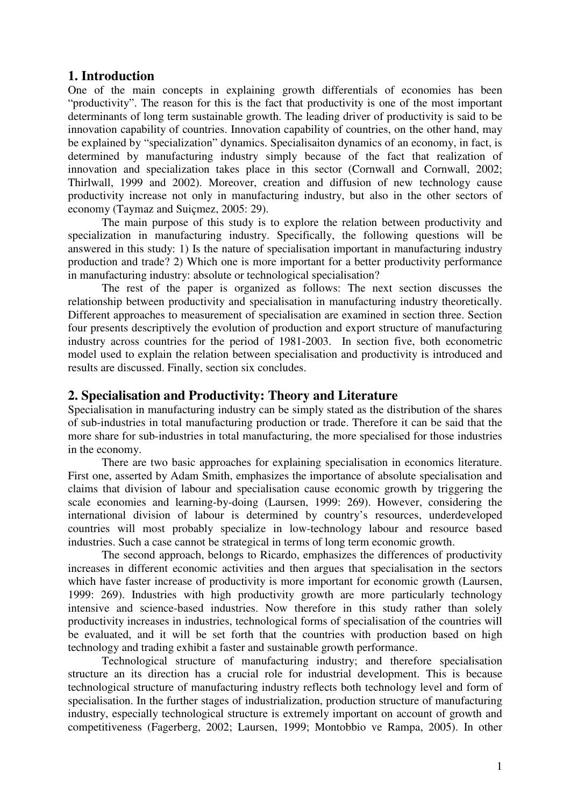# **1. Introduction**

One of the main concepts in explaining growth differentials of economies has been "productivity". The reason for this is the fact that productivity is one of the most important determinants of long term sustainable growth. The leading driver of productivity is said to be innovation capability of countries. Innovation capability of countries, on the other hand, may be explained by "specialization" dynamics. Specialisaiton dynamics of an economy, in fact, is determined by manufacturing industry simply because of the fact that realization of innovation and specialization takes place in this sector (Cornwall and Cornwall, 2002; Thirlwall, 1999 and 2002). Moreover, creation and diffusion of new technology cause productivity increase not only in manufacturing industry, but also in the other sectors of economy (Taymaz and Suiçmez, 2005: 29).

The main purpose of this study is to explore the relation between productivity and specialization in manufacturing industry. Specifically, the following questions will be answered in this study: 1) Is the nature of specialisation important in manufacturing industry production and trade? 2) Which one is more important for a better productivity performance in manufacturing industry: absolute or technological specialisation?

The rest of the paper is organized as follows: The next section discusses the relationship between productivity and specialisation in manufacturing industry theoretically. Different approaches to measurement of specialisation are examined in section three. Section four presents descriptively the evolution of production and export structure of manufacturing industry across countries for the period of 1981-2003. In section five, both econometric model used to explain the relation between specialisation and productivity is introduced and results are discussed. Finally, section six concludes.

# **2. Specialisation and Productivity: Theory and Literature**

Specialisation in manufacturing industry can be simply stated as the distribution of the shares of sub-industries in total manufacturing production or trade. Therefore it can be said that the more share for sub-industries in total manufacturing, the more specialised for those industries in the economy.

There are two basic approaches for explaining specialisation in economics literature. First one, asserted by Adam Smith, emphasizes the importance of absolute specialisation and claims that division of labour and specialisation cause economic growth by triggering the scale economies and learning-by-doing (Laursen, 1999: 269). However, considering the international division of labour is determined by country's resources, underdeveloped countries will most probably specialize in low-technology labour and resource based industries. Such a case cannot be strategical in terms of long term economic growth.

The second approach, belongs to Ricardo, emphasizes the differences of productivity increases in different economic activities and then argues that specialisation in the sectors which have faster increase of productivity is more important for economic growth (Laursen, 1999: 269). Industries with high productivity growth are more particularly technology intensive and science-based industries. Now therefore in this study rather than solely productivity increases in industries, technological forms of specialisation of the countries will be evaluated, and it will be set forth that the countries with production based on high technology and trading exhibit a faster and sustainable growth performance.

Technological structure of manufacturing industry; and therefore specialisation structure an its direction has a crucial role for industrial development. This is because technological structure of manufacturing industry reflects both technology level and form of specialisation. In the further stages of industrialization, production structure of manufacturing industry, especially technological structure is extremely important on account of growth and competitiveness (Fagerberg, 2002; Laursen, 1999; Montobbio ve Rampa, 2005). In other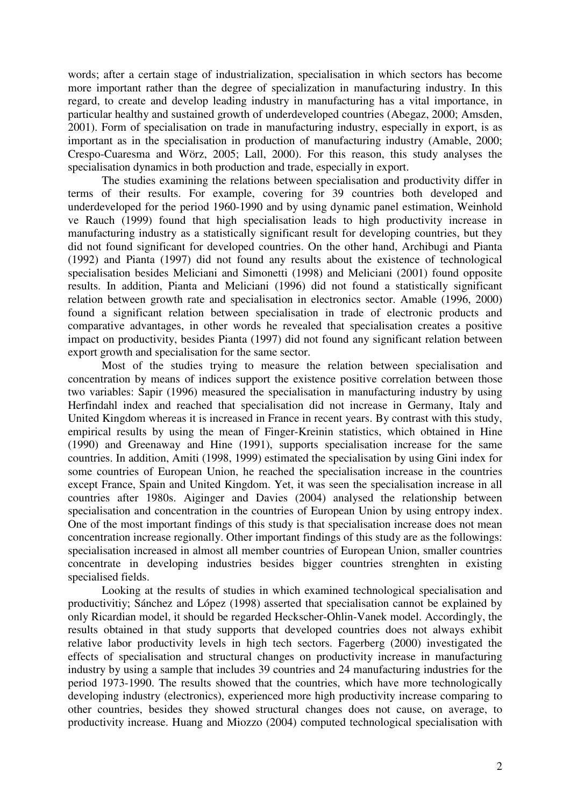words; after a certain stage of industrialization, specialisation in which sectors has become more important rather than the degree of specialization in manufacturing industry. In this regard, to create and develop leading industry in manufacturing has a vital importance, in particular healthy and sustained growth of underdeveloped countries (Abegaz, 2000; Amsden, 2001). Form of specialisation on trade in manufacturing industry, especially in export, is as important as in the specialisation in production of manufacturing industry (Amable, 2000; Crespo-Cuaresma and Wörz, 2005; Lall, 2000). For this reason, this study analyses the specialisation dynamics in both production and trade, especially in export.

The studies examining the relations between specialisation and productivity differ in terms of their results. For example, covering for 39 countries both developed and underdeveloped for the period 1960-1990 and by using dynamic panel estimation, Weinhold ve Rauch (1999) found that high specialisation leads to high productivity increase in manufacturing industry as a statistically significant result for developing countries, but they did not found significant for developed countries. On the other hand, Archibugi and Pianta (1992) and Pianta (1997) did not found any results about the existence of technological specialisation besides Meliciani and Simonetti (1998) and Meliciani (2001) found opposite results. In addition, Pianta and Meliciani (1996) did not found a statistically significant relation between growth rate and specialisation in electronics sector. Amable (1996, 2000) found a significant relation between specialisation in trade of electronic products and comparative advantages, in other words he revealed that specialisation creates a positive impact on productivity, besides Pianta (1997) did not found any significant relation between export growth and specialisation for the same sector.

Most of the studies trying to measure the relation between specialisation and concentration by means of indices support the existence positive correlation between those two variables: Sapir (1996) measured the specialisation in manufacturing industry by using Herfindahl index and reached that specialisation did not increase in Germany, Italy and United Kingdom whereas it is increased in France in recent years. By contrast with this study, empirical results by using the mean of Finger-Kreinin statistics, which obtained in Hine (1990) and Greenaway and Hine (1991), supports specialisation increase for the same countries. In addition, Amiti (1998, 1999) estimated the specialisation by using Gini index for some countries of European Union, he reached the specialisation increase in the countries except France, Spain and United Kingdom. Yet, it was seen the specialisation increase in all countries after 1980s. Aiginger and Davies (2004) analysed the relationship between specialisation and concentration in the countries of European Union by using entropy index. One of the most important findings of this study is that specialisation increase does not mean concentration increase regionally. Other important findings of this study are as the followings: specialisation increased in almost all member countries of European Union, smaller countries concentrate in developing industries besides bigger countries strenghten in existing specialised fields.

Looking at the results of studies in which examined technological specialisation and productivitiy; Sánchez and López (1998) asserted that specialisation cannot be explained by only Ricardian model, it should be regarded Heckscher-Ohlin-Vanek model. Accordingly, the results obtained in that study supports that developed countries does not always exhibit relative labor productivity levels in high tech sectors. Fagerberg (2000) investigated the effects of specialisation and structural changes on productivity increase in manufacturing industry by using a sample that includes 39 countries and 24 manufacturing industries for the period 1973-1990. The results showed that the countries, which have more technologically developing industry (electronics), experienced more high productivity increase comparing to other countries, besides they showed structural changes does not cause, on average, to productivity increase. Huang and Miozzo (2004) computed technological specialisation with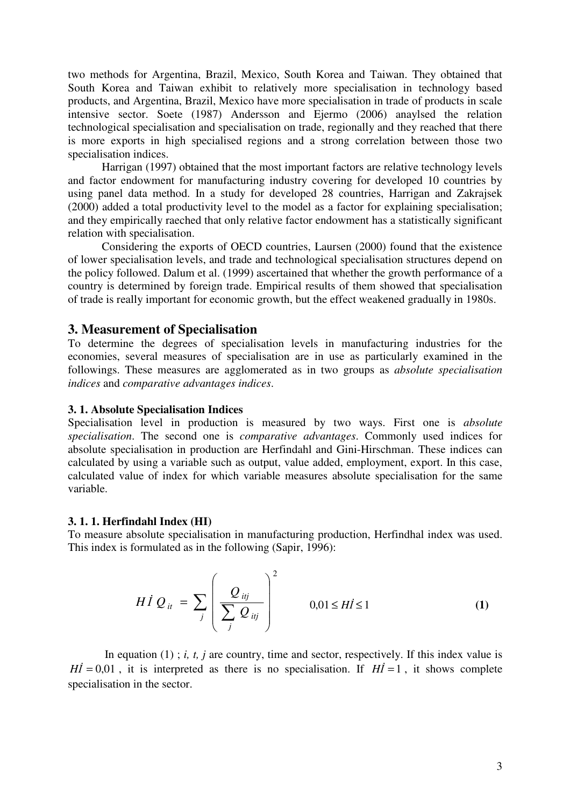two methods for Argentina, Brazil, Mexico, South Korea and Taiwan. They obtained that South Korea and Taiwan exhibit to relatively more specialisation in technology based products, and Argentina, Brazil, Mexico have more specialisation in trade of products in scale intensive sector. Soete (1987) Andersson and Ejermo (2006) anaylsed the relation technological specialisation and specialisation on trade, regionally and they reached that there is more exports in high specialised regions and a strong correlation between those two specialisation indices.

Harrigan (1997) obtained that the most important factors are relative technology levels and factor endowment for manufacturing industry covering for developed 10 countries by using panel data method. In a study for developed 28 countries, Harrigan and Zakrajsek (2000) added a total productivity level to the model as a factor for explaining specialisation; and they empirically raeched that only relative factor endowment has a statistically significant relation with specialisation.

Considering the exports of OECD countries, Laursen (2000) found that the existence of lower specialisation levels, and trade and technological specialisation structures depend on the policy followed. Dalum et al. (1999) ascertained that whether the growth performance of a country is determined by foreign trade. Empirical results of them showed that specialisation of trade is really important for economic growth, but the effect weakened gradually in 1980s.

# **3. Measurement of Specialisation**

To determine the degrees of specialisation levels in manufacturing industries for the economies, several measures of specialisation are in use as particularly examined in the followings. These measures are agglomerated as in two groups as *absolute specialisation indices* and *comparative advantages indices*.

# **3. 1. Absolute Specialisation Indices**

Specialisation level in production is measured by two ways. First one is *absolute specialisation*. The second one is *comparative advantages*. Commonly used indices for absolute specialisation in production are Herfindahl and Gini-Hirschman. These indices can calculated by using a variable such as output, value added, employment, export. In this case, calculated value of index for which variable measures absolute specialisation for the same variable.

#### **3. 1. 1. Herfindahl Index (HI)**

To measure absolute specialisation in manufacturing production, Herfindhal index was used. This index is formulated as in the following (Sapir, 1996):

$$
H I Q_{ii} = \sum_{j} \left( \frac{Q_{iij}}{\sum_{j} Q_{iij}} \right)^2 \qquad 0,01 \le H I \le 1 \qquad (1)
$$

In equation (1); *i, t, j* are country, time and sector, respectively. If this index value is  $H\vec{l} = 0.01$ , it is interpreted as there is no specialisation. If  $H\vec{l} = 1$ , it shows complete specialisation in the sector.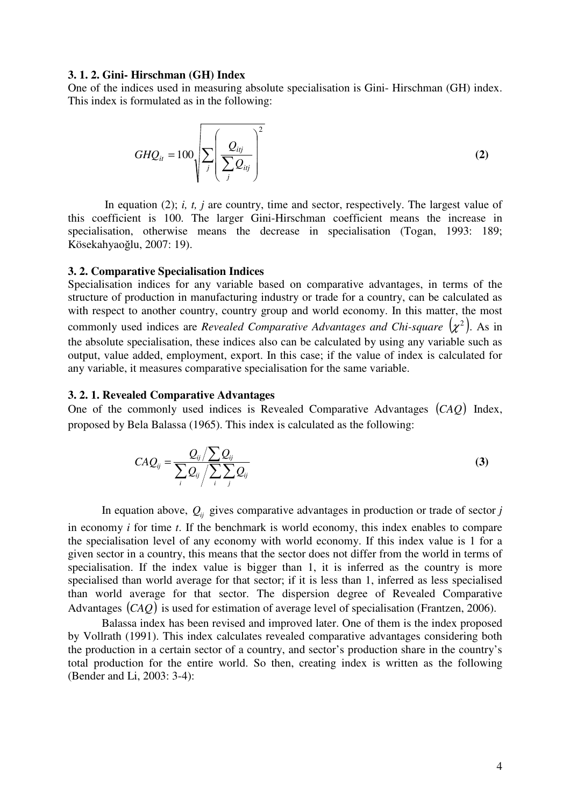#### **3. 1. 2. Gini- Hirschman (GH) Index**

One of the indices used in measuring absolute specialisation is Gini- Hirschman (GH) index. This index is formulated as in the following:

$$
GHQ_{it} = 100 \sqrt{\sum_{j} \left(\frac{Q_{itj}}{\sum_{j} Q_{itj}}\right)^2}
$$
 (2)

In equation (2); *i, t, j* are country, time and sector, respectively. The largest value of this coefficient is 100. The larger Gini-Hirschman coefficient means the increase in specialisation, otherwise means the decrease in specialisation (Togan, 1993: 189; Kösekahyaoğlu, 2007: 19).

#### **3. 2. Comparative Specialisation Indices**

Specialisation indices for any variable based on comparative advantages, in terms of the structure of production in manufacturing industry or trade for a country, can be calculated as with respect to another country, country group and world economy. In this matter, the most commonly used indices are *Revealed Comparative Advantages and Chi-square*  $(\chi^2)$ . As in the absolute specialisation, these indices also can be calculated by using any variable such as output, value added, employment, export. In this case; if the value of index is calculated for any variable, it measures comparative specialisation for the same variable.

#### **3. 2. 1. Revealed Comparative Advantages**

One of the commonly used indices is Revealed Comparative Advantages (*CAQ*) Index, proposed by Bela Balassa (1965). This index is calculated as the following:

$$
CAQ_{ij} = \frac{Q_{ij}/\sum_{ij} Q_{ij}}{\sum_{i} Q_{ij}/\sum_{i} \sum_{j} Q_{ij}}
$$
(3)

In equation above,  $Q_{ij}$  gives comparative advantages in production or trade of sector *j* in economy *i* for time *t*. If the benchmark is world economy, this index enables to compare the specialisation level of any economy with world economy. If this index value is 1 for a given sector in a country, this means that the sector does not differ from the world in terms of specialisation. If the index value is bigger than 1, it is inferred as the country is more specialised than world average for that sector; if it is less than 1, inferred as less specialised than world average for that sector. The dispersion degree of Revealed Comparative Advantages (*CAQ*) is used for estimation of average level of specialisation (Frantzen, 2006).

Balassa index has been revised and improved later. One of them is the index proposed by Vollrath (1991). This index calculates revealed comparative advantages considering both the production in a certain sector of a country, and sector's production share in the country's total production for the entire world. So then, creating index is written as the following (Bender and Li, 2003: 3-4):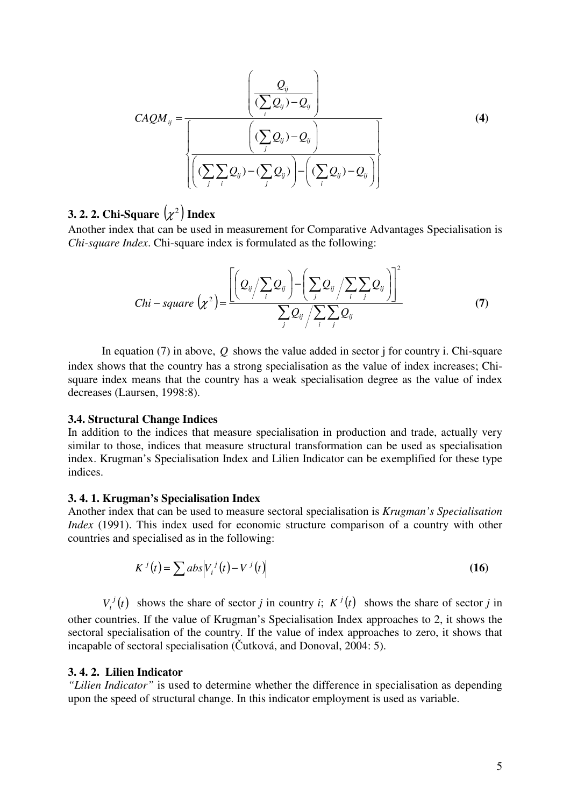$$
CAQM_{ij} = \frac{\left(\frac{Q_{ij}}{(\sum_{i} Q_{ij}) - Q_{ij}}\right)}{\left(\frac{(\sum_{j} Q_{ij}) - Q_{ij}}\right)}\right\}
$$
(4)

# **3. 2. 2. Chi-Square**  $(\chi^2)$  Index

Another index that can be used in measurement for Comparative Advantages Specialisation is *Chi-square Index*. Chi-square index is formulated as the following:

$$
Chi-square\left(\chi^{2}\right) = \frac{\left[\left(Q_{ij}/\sum_{i}Q_{ij}\right) - \left(\sum_{j}Q_{ij}/\sum_{i}\sum_{j}Q_{ij}\right)\right]^{2}}{\sum_{j}Q_{ij}/\sum_{i}\sum_{j}Q_{ij}}
$$
\n(7)

In equation (7) in above, *Q* shows the value added in sector j for country i. Chi-square index shows that the country has a strong specialisation as the value of index increases; Chisquare index means that the country has a weak specialisation degree as the value of index decreases (Laursen, 1998:8).

#### **3.4. Structural Change Indices**

In addition to the indices that measure specialisation in production and trade, actually very similar to those, indices that measure structural transformation can be used as specialisation index. Krugman's Specialisation Index and Lilien Indicator can be exemplified for these type indices.

#### **3. 4. 1. Krugman's Specialisation Index**

Another index that can be used to measure sectoral specialisation is *Krugman's Specialisation Index* (1991). This index used for economic structure comparison of a country with other countries and specialised as in the following:

$$
K^{j}(t) = \sum abs|V_{i}^{j}(t) - V^{j}(t)
$$
\n(16)

 $V_i^j(t)$  $\int_i^j(t)$  shows the share of sector *j* in country *i*;  $K^j(t)$  shows the share of sector *j* in other countries. If the value of Krugman's Specialisation Index approaches to 2, it shows the sectoral specialisation of the country. If the value of index approaches to zero, it shows that incapable of sectoral specialisation (Čutková, and Donoval, 2004: 5).

## **3. 4. 2. Lilien Indicator**

*"Lilien Indicator"* is used to determine whether the difference in specialisation as depending upon the speed of structural change. In this indicator employment is used as variable.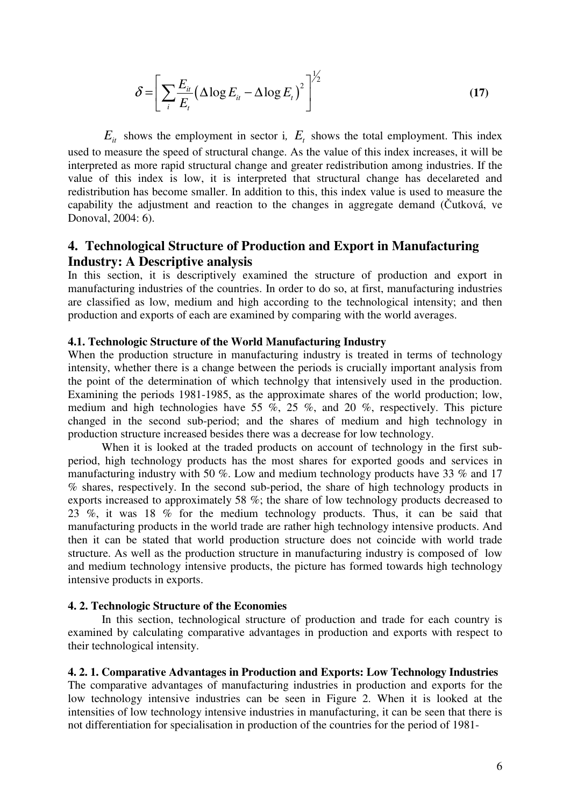$$
\delta = \left[ \sum_{i} \frac{E_{i}}{E_{i}} \left( \Delta \log E_{i} - \Delta \log E_{i} \right)^{2} \right]^{1/2}
$$
\n(17)

 $E_{it}$  shows the employment in sector i,  $E_{t}$  shows the total employment. This index used to measure the speed of structural change. As the value of this index increases, it will be interpreted as more rapid structural change and greater redistribution among industries. If the value of this index is low, it is interpreted that structural change has decelareted and redistribution has become smaller. In addition to this, this index value is used to measure the capability the adjustment and reaction to the changes in aggregate demand (Čutková, ve Donoval, 2004: 6).

# **4. Technological Structure of Production and Export in Manufacturing Industry: A Descriptive analysis**

In this section, it is descriptively examined the structure of production and export in manufacturing industries of the countries. In order to do so, at first, manufacturing industries are classified as low, medium and high according to the technological intensity; and then production and exports of each are examined by comparing with the world averages.

# **4.1. Technologic Structure of the World Manufacturing Industry**

When the production structure in manufacturing industry is treated in terms of technology intensity, whether there is a change between the periods is crucially important analysis from the point of the determination of which technolgy that intensively used in the production. Examining the periods 1981-1985, as the approximate shares of the world production; low, medium and high technologies have 55 %, 25 %, and 20 %, respectively. This picture changed in the second sub-period; and the shares of medium and high technology in production structure increased besides there was a decrease for low technology.

When it is looked at the traded products on account of technology in the first subperiod, high technology products has the most shares for exported goods and services in manufacturing industry with 50 %. Low and medium technology products have 33 % and 17 % shares, respectively. In the second sub-period, the share of high technology products in exports increased to approximately 58 %; the share of low technology products decreased to 23 %, it was 18 % for the medium technology products. Thus, it can be said that manufacturing products in the world trade are rather high technology intensive products. And then it can be stated that world production structure does not coincide with world trade structure. As well as the production structure in manufacturing industry is composed of low and medium technology intensive products, the picture has formed towards high technology intensive products in exports.

#### **4. 2. Technologic Structure of the Economies**

In this section, technological structure of production and trade for each country is examined by calculating comparative advantages in production and exports with respect to their technological intensity.

#### **4. 2. 1. Comparative Advantages in Production and Exports: Low Technology Industries**

The comparative advantages of manufacturing industries in production and exports for the low technology intensive industries can be seen in Figure 2. When it is looked at the intensities of low technology intensive industries in manufacturing, it can be seen that there is not differentiation for specialisation in production of the countries for the period of 1981-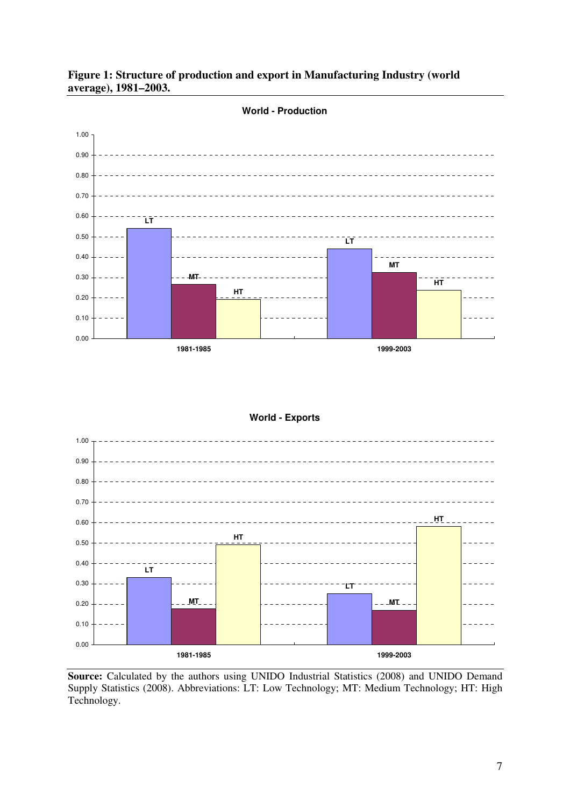



## **World - Exports**



**Source:** Calculated by the authors using UNIDO Industrial Statistics (2008) and UNIDO Demand Supply Statistics (2008). Abbreviations: LT: Low Technology; MT: Medium Technology; HT: High Technology.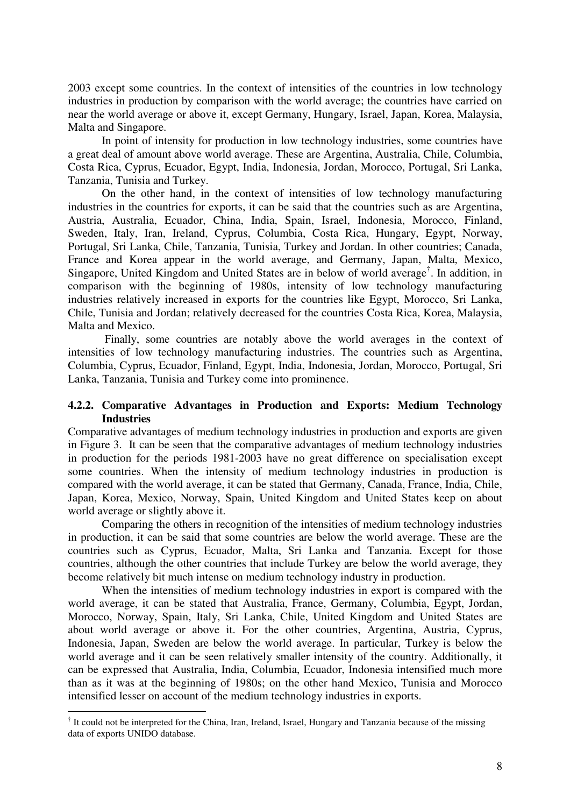2003 except some countries. In the context of intensities of the countries in low technology industries in production by comparison with the world average; the countries have carried on near the world average or above it, except Germany, Hungary, Israel, Japan, Korea, Malaysia, Malta and Singapore.

In point of intensity for production in low technology industries, some countries have a great deal of amount above world average. These are Argentina, Australia, Chile, Columbia, Costa Rica, Cyprus, Ecuador, Egypt, India, Indonesia, Jordan, Morocco, Portugal, Sri Lanka, Tanzania, Tunisia and Turkey.

On the other hand, in the context of intensities of low technology manufacturing industries in the countries for exports, it can be said that the countries such as are Argentina, Austria, Australia, Ecuador, China, India, Spain, Israel, Indonesia, Morocco, Finland, Sweden, Italy, Iran, Ireland, Cyprus, Columbia, Costa Rica, Hungary, Egypt, Norway, Portugal, Sri Lanka, Chile, Tanzania, Tunisia, Turkey and Jordan. In other countries; Canada, France and Korea appear in the world average, and Germany, Japan, Malta, Mexico, Singapore, United Kingdom and United States are in below of world average† . In addition, in comparison with the beginning of 1980s, intensity of low technology manufacturing industries relatively increased in exports for the countries like Egypt, Morocco, Sri Lanka, Chile, Tunisia and Jordan; relatively decreased for the countries Costa Rica, Korea, Malaysia, Malta and Mexico.

 Finally, some countries are notably above the world averages in the context of intensities of low technology manufacturing industries. The countries such as Argentina, Columbia, Cyprus, Ecuador, Finland, Egypt, India, Indonesia, Jordan, Morocco, Portugal, Sri Lanka, Tanzania, Tunisia and Turkey come into prominence.

# **4.2.2. Comparative Advantages in Production and Exports: Medium Technology Industries**

Comparative advantages of medium technology industries in production and exports are given in Figure 3. It can be seen that the comparative advantages of medium technology industries in production for the periods 1981-2003 have no great difference on specialisation except some countries. When the intensity of medium technology industries in production is compared with the world average, it can be stated that Germany, Canada, France, India, Chile, Japan, Korea, Mexico, Norway, Spain, United Kingdom and United States keep on about world average or slightly above it.

Comparing the others in recognition of the intensities of medium technology industries in production, it can be said that some countries are below the world average. These are the countries such as Cyprus, Ecuador, Malta, Sri Lanka and Tanzania. Except for those countries, although the other countries that include Turkey are below the world average, they become relatively bit much intense on medium technology industry in production.

When the intensities of medium technology industries in export is compared with the world average, it can be stated that Australia, France, Germany, Columbia, Egypt, Jordan, Morocco, Norway, Spain, Italy, Sri Lanka, Chile, United Kingdom and United States are about world average or above it. For the other countries, Argentina, Austria, Cyprus, Indonesia, Japan, Sweden are below the world average. In particular, Turkey is below the world average and it can be seen relatively smaller intensity of the country. Additionally, it can be expressed that Australia, India, Columbia, Ecuador, Indonesia intensified much more than as it was at the beginning of 1980s; on the other hand Mexico, Tunisia and Morocco intensified lesser on account of the medium technology industries in exports.

 $\overline{a}$ 

<sup>&</sup>lt;sup>†</sup> It could not be interpreted for the China, Iran, Ireland, Israel, Hungary and Tanzania because of the missing data of exports UNIDO database.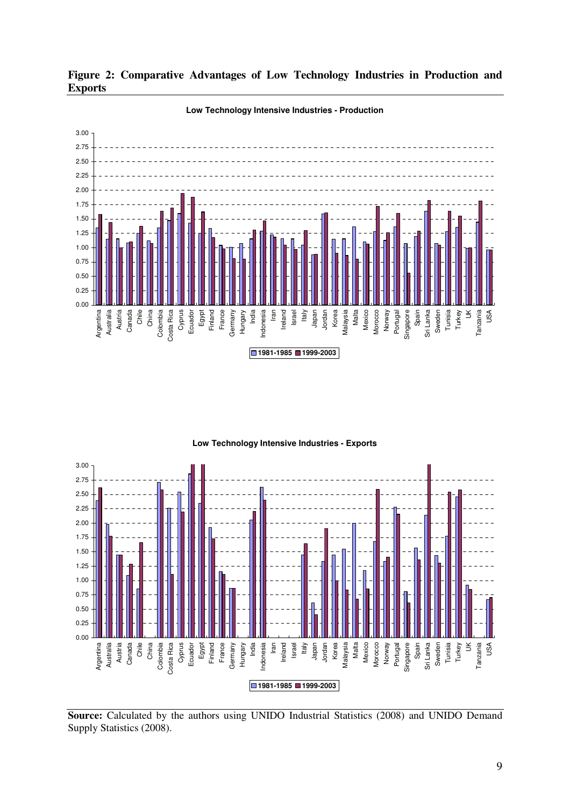

**Figure 2: Comparative Advantages of Low Technology Industries in Production and Exports**





**Source:** Calculated by the authors using UNIDO Industrial Statistics (2008) and UNIDO Demand Supply Statistics (2008).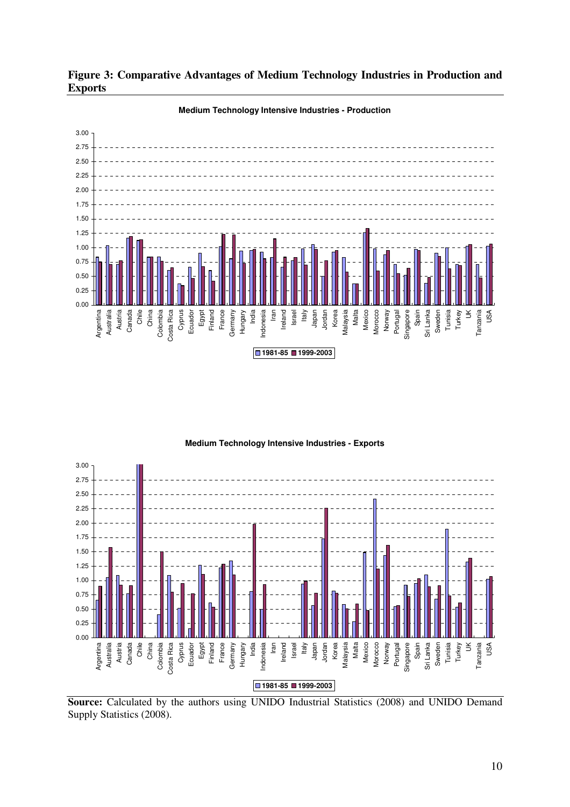

**Figure 3: Comparative Advantages of Medium Technology Industries in Production and Exports**



**Source:** Calculated by the authors using UNIDO Industrial Statistics (2008) and UNIDO Demand Supply Statistics (2008).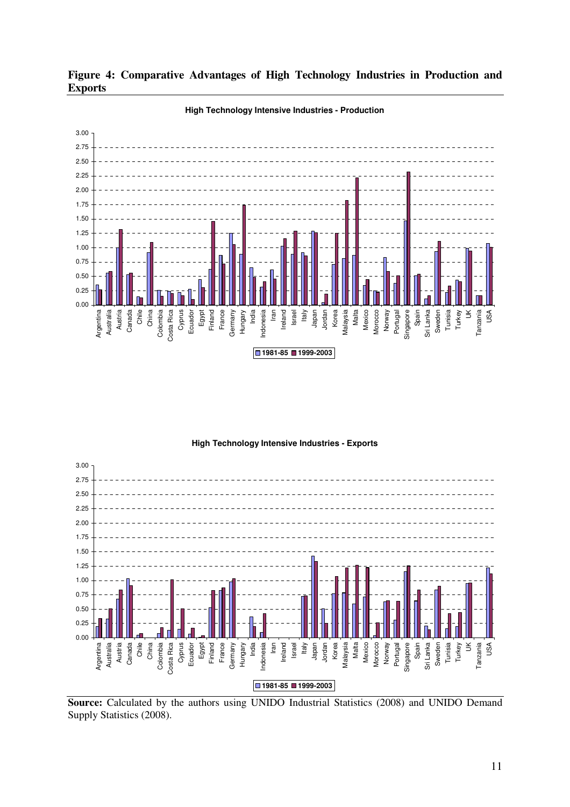





Source: Calculated by the authors using UNIDO Industrial Statistics (2008) and UNIDO Demand Supply Statistics (2008).

11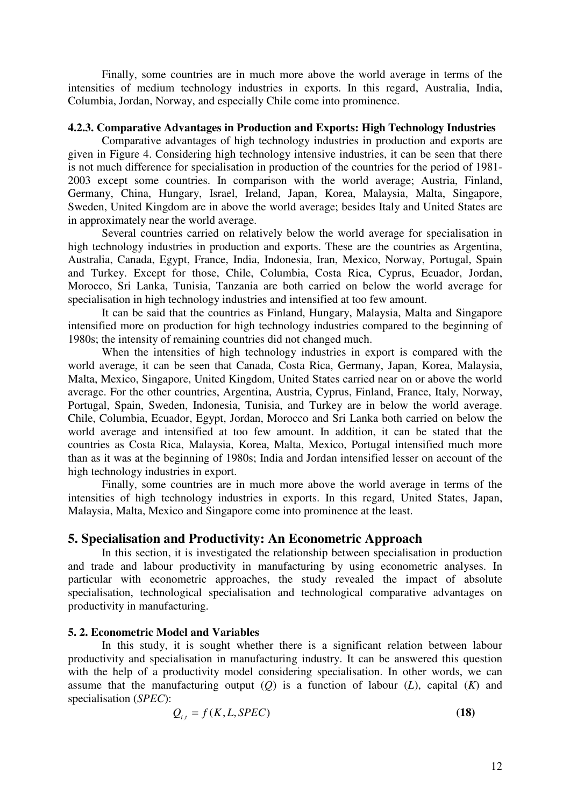Finally, some countries are in much more above the world average in terms of the intensities of medium technology industries in exports. In this regard, Australia, India, Columbia, Jordan, Norway, and especially Chile come into prominence.

#### **4.2.3. Comparative Advantages in Production and Exports: High Technology Industries**

Comparative advantages of high technology industries in production and exports are given in Figure 4. Considering high technology intensive industries, it can be seen that there is not much difference for specialisation in production of the countries for the period of 1981- 2003 except some countries. In comparison with the world average; Austria, Finland, Germany, China, Hungary, Israel, Ireland, Japan, Korea, Malaysia, Malta, Singapore, Sweden, United Kingdom are in above the world average; besides Italy and United States are in approximately near the world average.

Several countries carried on relatively below the world average for specialisation in high technology industries in production and exports. These are the countries as Argentina, Australia, Canada, Egypt, France, India, Indonesia, Iran, Mexico, Norway, Portugal, Spain and Turkey. Except for those, Chile, Columbia, Costa Rica, Cyprus, Ecuador, Jordan, Morocco, Sri Lanka, Tunisia, Tanzania are both carried on below the world average for specialisation in high technology industries and intensified at too few amount.

It can be said that the countries as Finland, Hungary, Malaysia, Malta and Singapore intensified more on production for high technology industries compared to the beginning of 1980s; the intensity of remaining countries did not changed much.

When the intensities of high technology industries in export is compared with the world average, it can be seen that Canada, Costa Rica, Germany, Japan, Korea, Malaysia, Malta, Mexico, Singapore, United Kingdom, United States carried near on or above the world average. For the other countries, Argentina, Austria, Cyprus, Finland, France, Italy, Norway, Portugal, Spain, Sweden, Indonesia, Tunisia, and Turkey are in below the world average. Chile, Columbia, Ecuador, Egypt, Jordan, Morocco and Sri Lanka both carried on below the world average and intensified at too few amount. In addition, it can be stated that the countries as Costa Rica, Malaysia, Korea, Malta, Mexico, Portugal intensified much more than as it was at the beginning of 1980s; India and Jordan intensified lesser on account of the high technology industries in export.

Finally, some countries are in much more above the world average in terms of the intensities of high technology industries in exports. In this regard, United States, Japan, Malaysia, Malta, Mexico and Singapore come into prominence at the least.

# **5. Specialisation and Productivity: An Econometric Approach**

In this section, it is investigated the relationship between specialisation in production and trade and labour productivity in manufacturing by using econometric analyses. In particular with econometric approaches, the study revealed the impact of absolute specialisation, technological specialisation and technological comparative advantages on productivity in manufacturing.

#### **5. 2. Econometric Model and Variables**

In this study, it is sought whether there is a significant relation between labour productivity and specialisation in manufacturing industry. It can be answered this question with the help of a productivity model considering specialisation. In other words, we can assume that the manufacturing output (*Q*) is a function of labour (*L*), capital (*K*) and specialisation (*SPEC*):

$$
Q_{i,t} = f(K, L, SPEC) \tag{18}
$$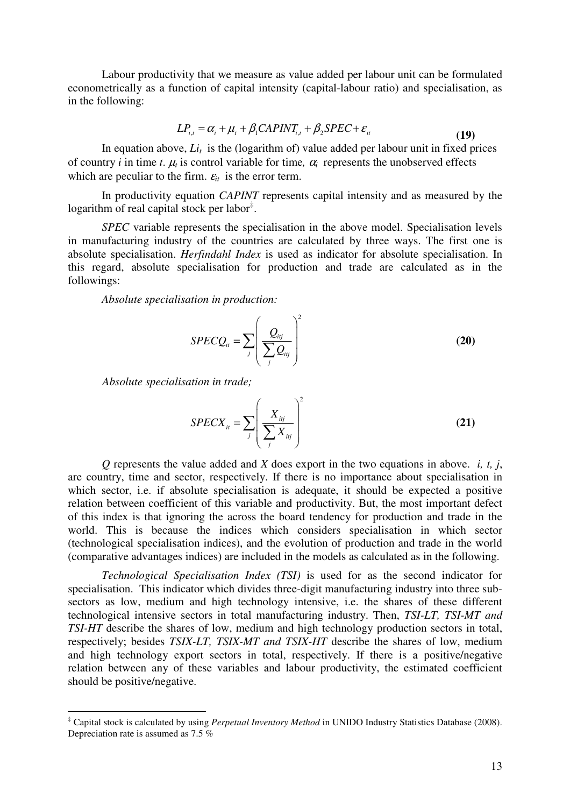Labour productivity that we measure as value added per labour unit can be formulated econometrically as a function of capital intensity (capital-labour ratio) and specialisation, as in the following:

$$
LP_{i,t} = \alpha_i + \mu_t + \beta_1 CAPINT_{i,t} + \beta_2 SPEC + \varepsilon_{it}
$$
\n(19)

In equation above,  $Li<sub>t</sub>$  is the (logarithm of) value added per labour unit in fixed prices of country *i* in time *t*.  $\mu_t$  is control variable for time,  $\alpha_i$  represents the unobserved effects which are peculiar to the firm.  $\varepsilon_{it}$  is the error term.

 In productivity equation *CAPINT* represents capital intensity and as measured by the logarithm of real capital stock per labor $\dot{z}$ .

*SPEC* variable represents the specialisation in the above model. Specialisation levels in manufacturing industry of the countries are calculated by three ways. The first one is absolute specialisation. *Herfindahl Index* is used as indicator for absolute specialisation. In this regard, absolute specialisation for production and trade are calculated as in the followings:

*Absolute specialisation in production:* 

$$
SPECQ_{it} = \sum_{j} \left(\frac{Q_{itj}}{\sum_{j} Q_{itj}}\right)^2
$$
 (20)

 *Absolute specialisation in trade;*

 $\overline{a}$ 

$$
SPECX_{i} = \sum_{j} \left( \frac{X_{ij}}{\sum_{j} X_{ij}} \right)^2 \tag{21}
$$

*Q* represents the value added and *X* does export in the two equations in above. *i, t, j*, are country, time and sector, respectively. If there is no importance about specialisation in which sector, i.e. if absolute specialisation is adequate, it should be expected a positive relation between coefficient of this variable and productivity. But, the most important defect of this index is that ignoring the across the board tendency for production and trade in the world. This is because the indices which considers specialisation in which sector (technological specialisation indices), and the evolution of production and trade in the world (comparative advantages indices) are included in the models as calculated as in the following.

*Technological Specialisation Index (TSI)* is used for as the second indicator for specialisation. This indicator which divides three-digit manufacturing industry into three subsectors as low, medium and high technology intensive, i.e. the shares of these different technological intensive sectors in total manufacturing industry. Then, *TSI-LT, TSI-MT and TSI-HT* describe the shares of low, medium and high technology production sectors in total, respectively; besides *TSIX-LT, TSIX-MT and TSIX-HT* describe the shares of low, medium and high technology export sectors in total, respectively. If there is a positive/negative relation between any of these variables and labour productivity, the estimated coefficient should be positive/negative.

<sup>‡</sup> Capital stock is calculated by using *Perpetual Inventory Method* in UNIDO Industry Statistics Database (2008). Depreciation rate is assumed as 7.5 %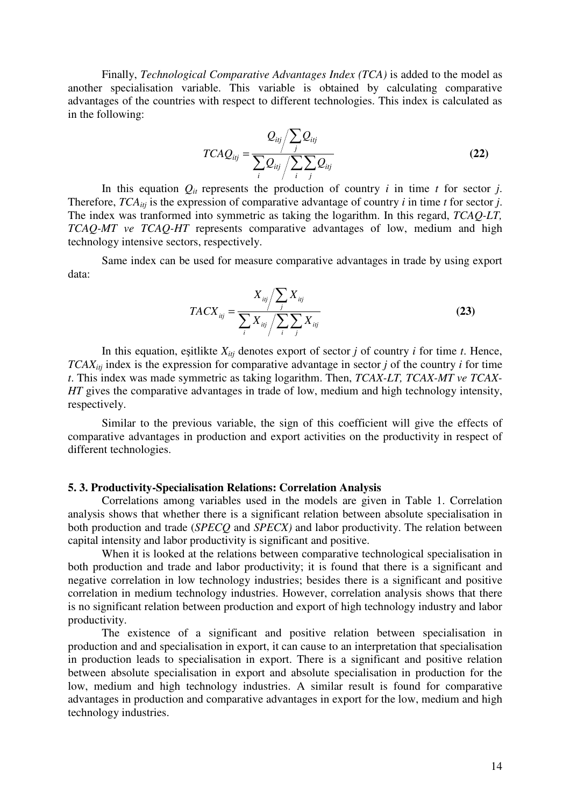Finally, *Technological Comparative Advantages Index (TCA)* is added to the model as another specialisation variable. This variable is obtained by calculating comparative advantages of the countries with respect to different technologies. This index is calculated as in the following:

$$
TCAQ_{ij} = \frac{Q_{ij}}{\sum_{i} Q_{ij}} / \sum_{i} \sum_{j} Q_{ij}
$$
(22)

In this equation  $Q_{it}$  represents the production of country *i* in time *t* for sector *j*. Therefore,  $TCA_{itj}$  is the expression of comparative advantage of country *i* in time *t* for sector *j*. The index was tranformed into symmetric as taking the logarithm. In this regard, *TCAQ-LT, TCAQ-MT ve TCAQ-HT* represents comparative advantages of low, medium and high technology intensive sectors, respectively.

Same index can be used for measure comparative advantages in trade by using export data:

$$
TACX_{ij} = \frac{X_{ij} / \sum_{j} X_{ij}}{\sum_{i} X_{ij} / \sum_{i} \sum_{j} X_{ij}}
$$
(23)

In this equation, esitlikte  $X_{itj}$  denotes export of sector *j* of country *i* for time *t*. Hence,  $TCAX_{iti}$  index is the expression for comparative advantage in sector *j* of the country *i* for time *t*. This index was made symmetric as taking logarithm. Then, *TCAX-LT, TCAX-MT ve TCAX-HT* gives the comparative advantages in trade of low, medium and high technology intensity, respectively.

Similar to the previous variable, the sign of this coefficient will give the effects of comparative advantages in production and export activities on the productivity in respect of different technologies.

#### **5. 3. Productivity-Specialisation Relations: Correlation Analysis**

Correlations among variables used in the models are given in Table 1. Correlation analysis shows that whether there is a significant relation between absolute specialisation in both production and trade (*SPECQ* and *SPECX)* and labor productivity. The relation between capital intensity and labor productivity is significant and positive.

When it is looked at the relations between comparative technological specialisation in both production and trade and labor productivity; it is found that there is a significant and negative correlation in low technology industries; besides there is a significant and positive correlation in medium technology industries. However, correlation analysis shows that there is no significant relation between production and export of high technology industry and labor productivity.

 The existence of a significant and positive relation between specialisation in production and and specialisation in export, it can cause to an interpretation that specialisation in production leads to specialisation in export. There is a significant and positive relation between absolute specialisation in export and absolute specialisation in production for the low, medium and high technology industries. A similar result is found for comparative advantages in production and comparative advantages in export for the low, medium and high technology industries.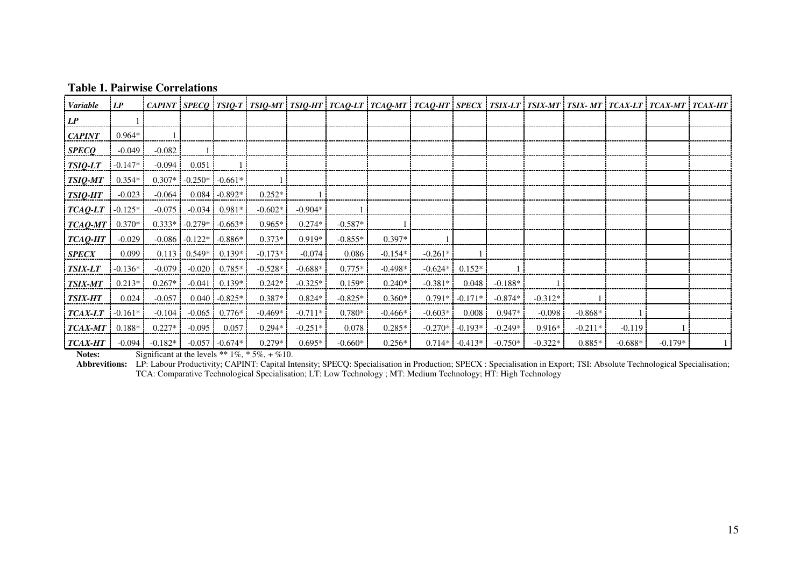## **Table 1. Pairwise Correlations**

| Variable       | LP        |           |                  |                     |           |           |           | CAPINT   SPECO   TSIQ-T   TSIQ-MT   TSIQ-HT   TCAQ-LT   TCAQ-MT   TCAQ-HT   SPECX   TSIX-LT   TSIX-MT   TSIX- MT   TCAX-LT   TCAX-MT   TCAX-HT |           |                   |           |           |           |           |           |  |
|----------------|-----------|-----------|------------------|---------------------|-----------|-----------|-----------|------------------------------------------------------------------------------------------------------------------------------------------------|-----------|-------------------|-----------|-----------|-----------|-----------|-----------|--|
| LP             |           |           |                  |                     |           |           |           |                                                                                                                                                |           |                   |           |           |           |           |           |  |
| <b>CAPINT</b>  | $0.964*$  |           |                  |                     |           |           |           |                                                                                                                                                |           |                   |           |           |           |           |           |  |
| <b>SPECQ</b>   | $-0.049$  | $-0.082$  |                  |                     |           |           |           |                                                                                                                                                |           |                   |           |           |           |           |           |  |
| TSIQ-LT        | $-0.147*$ | $-0.094$  | 0.051            |                     |           |           |           |                                                                                                                                                |           |                   |           |           |           |           |           |  |
| TSIQ-MT        | $0.354*$  | $0.307*$  |                  | $-0.250*$ $-0.661*$ |           |           |           |                                                                                                                                                |           |                   |           |           |           |           |           |  |
| TSIQ-HT        | $-0.023$  | $-0.064$  | 0.084            | $-0.892*$           | $0.252*$  |           |           |                                                                                                                                                |           |                   |           |           |           |           |           |  |
| TCAQ-LT        | $-0.125*$ | $-0.075$  | $-0.034$         | $0.981*$            | $-0.602*$ | $-0.904*$ |           |                                                                                                                                                |           |                   |           |           |           |           |           |  |
| TCAQ-MT        | $0.370*$  |           | $0.333* -0.279*$ | $-0.663*$           | $0.965*$  | $0.274*$  | $-0.587*$ |                                                                                                                                                |           |                   |           |           |           |           |           |  |
| TCAQ-HT        | $-0.029$  | $-0.086$  | $-0.122*$        | $-0.886*$           | $0.373*$  | $0.919*$  | $-0.855*$ | $0.397*$                                                                                                                                       |           |                   |           |           |           |           |           |  |
| <b>SPECX</b>   | 0.099     | 0.113     | $0.549*$         | $0.139*$            | $-0.173*$ | $-0.074$  | 0.086     | $-0.154*$                                                                                                                                      | $-0.261*$ |                   |           |           |           |           |           |  |
| <b>TSIX-LT</b> | $-0.136*$ | $-0.079$  | $-0.020$         | $0.785*$            | $-0.528*$ | $-0.688*$ | $0.775*$  | $-0.498*$                                                                                                                                      | $-0.624*$ | $0.152*$          |           |           |           |           |           |  |
| <b>TSIX-MT</b> | $0.213*$  | $0.267*$  | $-0.041$         | $0.139*$            | $0.242*$  | $-0.325*$ | $0.159*$  | $0.240*$                                                                                                                                       | $-0.381*$ | 0.048             | $-0.188*$ |           |           |           |           |  |
| <b>TSIX-HT</b> | 0.024     | $-0.057$  | 0.040            | $-0.825*$           | $0.387*$  | $0.824*$  | $-0.825*$ | $0.360*$                                                                                                                                       | $0.791*$  | $-0.171*$         | $-0.874*$ | $-0.312*$ |           |           |           |  |
| <b>TCAX-LT</b> | $-0.161*$ | $-0.104$  | $-0.065$         | $0.776*$            | $-0.469*$ | $-0.711*$ | $0.780*$  | $-0.466*$                                                                                                                                      | $-0.603*$ | 0.008             | $0.947*$  | $-0.098$  | $-0.868*$ |           |           |  |
| <b>TCAX-MT</b> | $0.188*$  | $0.227*$  | $-0.095$         | 0.057               | $0.294*$  | $-0.251*$ | 0.078     | $0.285*$                                                                                                                                       |           | $-0.270* -0.193*$ | $-0.249*$ | $0.916*$  | $-0.211*$ | $-0.119$  |           |  |
| <b>TCAX-HT</b> | $-0.094$  | $-0.182*$ | $-0.057$         | $-0.674*$           | $0.279*$  | $0.695*$  | $-0.660*$ | $0.256*$                                                                                                                                       |           | $0.714*$ -0.413*  | $-0.750*$ | $-0.322*$ | $0.885*$  | $-0.688*$ | $-0.179*$ |  |

**Notes:** Significant at the levels  $** 1\%, * 5\%, +\%10$ .

**Abbrevitions:** LP: Labour Productivity; CAPINT: Capital Intensity; SPECQ: Specialisation in Production; SPECX : Specialisation in Export; TSI: Absolute Technological Specialisation; TCA: Comparative Technological Specialisation; LT: Low Technology ; MT: Medium Technology; HT: High Technology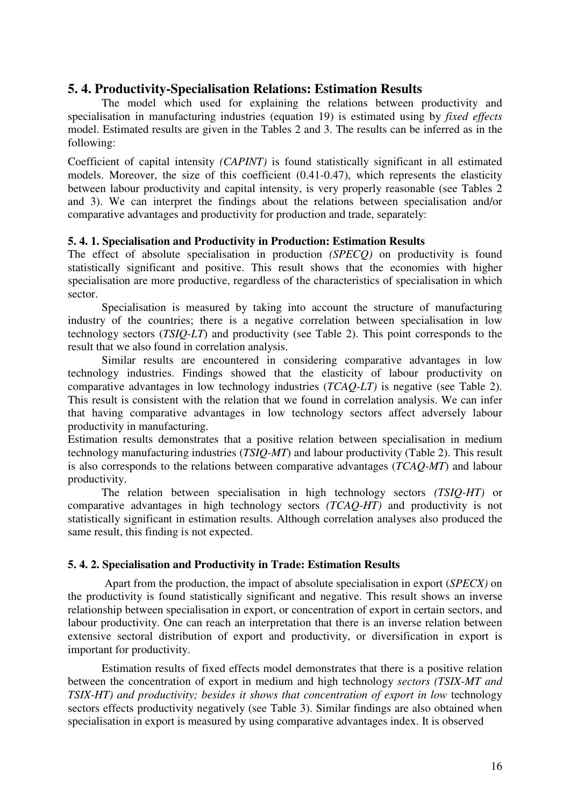# **5. 4. Productivity-Specialisation Relations: Estimation Results**

The model which used for explaining the relations between productivity and specialisation in manufacturing industries (equation 19) is estimated using by *fixed effects* model. Estimated results are given in the Tables 2 and 3. The results can be inferred as in the following:

Coefficient of capital intensity *(CAPINT)* is found statistically significant in all estimated models. Moreover, the size of this coefficient (0.41-0.47), which represents the elasticity between labour productivity and capital intensity, is very properly reasonable (see Tables 2) and 3). We can interpret the findings about the relations between specialisation and/or comparative advantages and productivity for production and trade, separately:

# **5. 4. 1. Specialisation and Productivity in Production: Estimation Results**

The effect of absolute specialisation in production *(SPECQ)* on productivity is found statistically significant and positive. This result shows that the economies with higher specialisation are more productive, regardless of the characteristics of specialisation in which sector.

 Specialisation is measured by taking into account the structure of manufacturing industry of the countries; there is a negative correlation between specialisation in low technology sectors (*TSIQ-LT*) and productivity (see Table 2). This point corresponds to the result that we also found in correlation analysis.

Similar results are encountered in considering comparative advantages in low technology industries. Findings showed that the elasticity of labour productivity on comparative advantages in low technology industries (*TCAQ-LT)* is negative (see Table 2). This result is consistent with the relation that we found in correlation analysis. We can infer that having comparative advantages in low technology sectors affect adversely labour productivity in manufacturing.

Estimation results demonstrates that a positive relation between specialisation in medium technology manufacturing industries (*TSIQ-MT*) and labour productivity (Table 2). This result is also corresponds to the relations between comparative advantages (*TCAQ-MT*) and labour productivity.

 The relation between specialisation in high technology sectors *(TSIQ-HT)* or comparative advantages in high technology sectors *(TCAQ-HT)* and productivity is not statistically significant in estimation results. Although correlation analyses also produced the same result, this finding is not expected.

# **5. 4. 2. Specialisation and Productivity in Trade: Estimation Results**

Apart from the production, the impact of absolute specialisation in export (*SPECX)* on the productivity is found statistically significant and negative. This result shows an inverse relationship between specialisation in export, or concentration of export in certain sectors, and labour productivity. One can reach an interpretation that there is an inverse relation between extensive sectoral distribution of export and productivity, or diversification in export is important for productivity.

Estimation results of fixed effects model demonstrates that there is a positive relation between the concentration of export in medium and high technology *sectors (TSIX-MT and TSIX-HT) and productivity; besides it shows that concentration of export in low* technology sectors effects productivity negatively (see Table 3). Similar findings are also obtained when specialisation in export is measured by using comparative advantages index. It is observed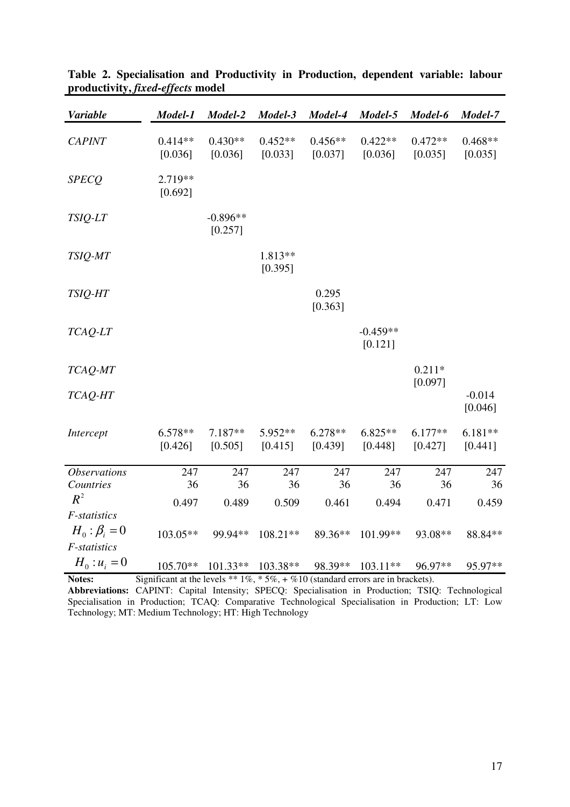| <b>Variable</b>                    | Model-1              | Model-2               | Model-3              | Model-4              | Model-5               | Model-6              | Model-7              |
|------------------------------------|----------------------|-----------------------|----------------------|----------------------|-----------------------|----------------------|----------------------|
| <b>CAPINT</b>                      | $0.414**$<br>[0.036] | $0.430**$<br>[0.036]  | $0.452**$<br>[0.033] | $0.456**$<br>[0.037] | $0.422**$<br>[0.036]  | $0.472**$<br>[0.035] | $0.468**$<br>[0.035] |
| <b>SPECQ</b>                       | 2.719**<br>[0.692]   |                       |                      |                      |                       |                      |                      |
| TSIQ-LT                            |                      | $-0.896**$<br>[0.257] |                      |                      |                       |                      |                      |
| TSIQ-MT                            |                      |                       | 1.813**<br>[0.395]   |                      |                       |                      |                      |
| TSIQ-HT                            |                      |                       |                      | 0.295<br>[0.363]     |                       |                      |                      |
| TCAQ-LT                            |                      |                       |                      |                      | $-0.459**$<br>[0.121] |                      |                      |
| TCAQ-MT                            |                      |                       |                      |                      |                       | $0.211*$             |                      |
| TCAQ-HT                            |                      |                       |                      |                      |                       | [0.097]              | $-0.014$<br>[0.046]  |
| Intercept                          | $6.578**$<br>[0.426] | $7.187**$<br>[0.505]  | $5.952**$<br>[0.415] | $6.278**$<br>[0.439] | $6.825**$<br>[0.448]  | $6.177**$<br>[0.427] | $6.181**$<br>[0.441] |
| <i><b>Observations</b></i>         | 247                  | 247                   | 247                  | 247                  | 247                   | 247                  | 247                  |
| Countries<br>$R^2$                 | 36<br>0.497          | 36<br>0.489           | 36<br>0.509          | 36<br>0.461          | 36<br>0.494           | 36<br>0.471          | 36<br>0.459          |
| F-statistics                       |                      |                       |                      |                      |                       |                      |                      |
| $H_0: \beta_i = 0$<br>F-statistics | $103.05**$           | 99.94**               | $108.21**$           | 89.36**              | 101.99**              | 93.08**              | 88.84**              |
| $H_0: u_i = 0$                     | $105.70**$           | $101.33**$            | 103.38**             | 98.39**              | $103.11**$            | 96.97**              | 95.97**              |

**Table 2. Specialisation and Productivity in Production, dependent variable: labour productivity,** *fixed-effects* **model**

Notes: Significant at the levels \*\* 1%, \* 5%, + %10 (standard errors are in brackets).

**Abbreviations:** CAPINT: Capital Intensity; SPECQ: Specialisation in Production; TSIQ: Technological Specialisation in Production; TCAQ: Comparative Technological Specialisation in Production; LT: Low Technology; MT: Medium Technology; HT: High Technology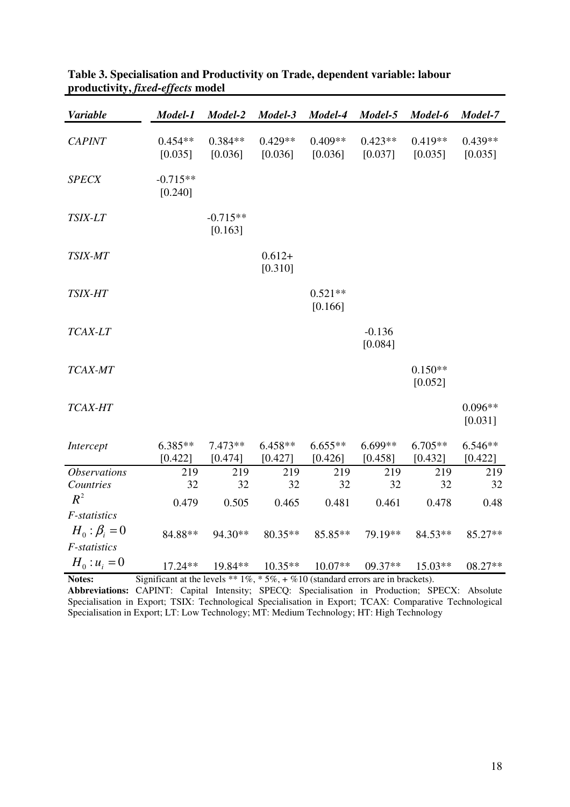| <b>Variable</b>            | Model-1               | Model-2               | Model-3              | Model-4              | Model-5              | Model-6              | Model-7              |
|----------------------------|-----------------------|-----------------------|----------------------|----------------------|----------------------|----------------------|----------------------|
| <b>CAPINT</b>              | $0.454**$<br>[0.035]  | $0.384**$<br>[0.036]  | $0.429**$<br>[0.036] | $0.409**$<br>[0.036] | $0.423**$<br>[0.037] | $0.419**$<br>[0.035] | $0.439**$<br>[0.035] |
| <b>SPECX</b>               | $-0.715**$<br>[0.240] |                       |                      |                      |                      |                      |                      |
| TSIX-LT                    |                       | $-0.715**$<br>[0.163] |                      |                      |                      |                      |                      |
| TSIX-MT                    |                       |                       | $0.612+$<br>[0.310]  |                      |                      |                      |                      |
| <b>TSIX-HT</b>             |                       |                       |                      | $0.521**$<br>[0.166] |                      |                      |                      |
| TCAX-LT                    |                       |                       |                      |                      | $-0.136$<br>[0.084]  |                      |                      |
| TCAX-MT                    |                       |                       |                      |                      |                      | $0.150**$<br>[0.052] |                      |
| TCAX-HT                    |                       |                       |                      |                      |                      |                      | $0.096**$<br>[0.031] |
| Intercept                  | $6.385**$<br>[0.422]  | $7.473**$<br>[0.474]  | $6.458**$<br>[0.427] | $6.655**$<br>[0.426] | 6.699**<br>[0.458]   | 6.705**<br>[0.432]   | $6.546**$<br>[0.422] |
| <i><b>Observations</b></i> | 219                   | 219                   | 219                  | 219                  | 219                  | 219                  | 219                  |
| Countries<br>$R^2$         | 32                    | 32                    | 32                   | 32                   | 32                   | 32                   | 32                   |
| F-statistics               | 0.479                 | 0.505                 | 0.465                | 0.481                | 0.461                | 0.478                | 0.48                 |
| $H_0: \beta_i = 0$         |                       |                       |                      |                      |                      |                      |                      |
| F-statistics               | 84.88**               | 94.30**               | $80.35**$            | 85.85**              | 79.19**              | 84.53**              | 85.27**              |
| $H_0: u_i = 0$             | 17.24**               | 19.84**               | $10.35**$            | $10.07**$            | 09.37**              | 15.03**              | 08.27**              |
|                            | ۰ ~                   |                       |                      |                      |                      |                      |                      |

# **Table 3. Specialisation and Productivity on Trade, dependent variable: labour productivity,** *fixed-effects* **model**

**Notes:** Significant at the levels \*\*  $1\%$ , \*  $5\%$ , +  $\%$  10 (standard errors are in brackets). **Abbreviations:** CAPINT: Capital Intensity; SPECQ: Specialisation in Production; SPECX: Absolute Specialisation in Export; TSIX: Technological Specialisation in Export; TCAX: Comparative Technological Specialisation in Export; LT: Low Technology; MT: Medium Technology; HT: High Technology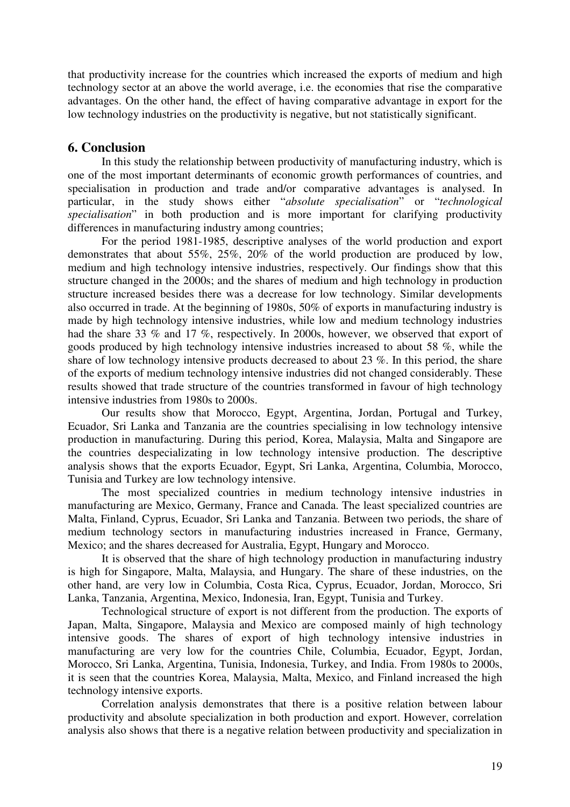that productivity increase for the countries which increased the exports of medium and high technology sector at an above the world average, i.e. the economies that rise the comparative advantages. On the other hand, the effect of having comparative advantage in export for the low technology industries on the productivity is negative, but not statistically significant.

# **6. Conclusion**

In this study the relationship between productivity of manufacturing industry, which is one of the most important determinants of economic growth performances of countries, and specialisation in production and trade and/or comparative advantages is analysed. In particular, in the study shows either "*absolute specialisation*" or "*technological specialisation*" in both production and is more important for clarifying productivity differences in manufacturing industry among countries;

For the period 1981-1985, descriptive analyses of the world production and export demonstrates that about 55%, 25%, 20% of the world production are produced by low, medium and high technology intensive industries, respectively. Our findings show that this structure changed in the 2000s; and the shares of medium and high technology in production structure increased besides there was a decrease for low technology. Similar developments also occurred in trade. At the beginning of 1980s, 50% of exports in manufacturing industry is made by high technology intensive industries, while low and medium technology industries had the share 33 % and 17 %, respectively. In 2000s, however, we observed that export of goods produced by high technology intensive industries increased to about 58 %, while the share of low technology intensive products decreased to about 23 %. In this period, the share of the exports of medium technology intensive industries did not changed considerably. These results showed that trade structure of the countries transformed in favour of high technology intensive industries from 1980s to 2000s.

Our results show that Morocco, Egypt, Argentina, Jordan, Portugal and Turkey, Ecuador, Sri Lanka and Tanzania are the countries specialising in low technology intensive production in manufacturing. During this period, Korea, Malaysia, Malta and Singapore are the countries despecializating in low technology intensive production. The descriptive analysis shows that the exports Ecuador, Egypt, Sri Lanka, Argentina, Columbia, Morocco, Tunisia and Turkey are low technology intensive.

The most specialized countries in medium technology intensive industries in manufacturing are Mexico, Germany, France and Canada. The least specialized countries are Malta, Finland, Cyprus, Ecuador, Sri Lanka and Tanzania. Between two periods, the share of medium technology sectors in manufacturing industries increased in France, Germany, Mexico; and the shares decreased for Australia, Egypt, Hungary and Morocco.

It is observed that the share of high technology production in manufacturing industry is high for Singapore, Malta, Malaysia, and Hungary. The share of these industries, on the other hand, are very low in Columbia, Costa Rica, Cyprus, Ecuador, Jordan, Morocco, Sri Lanka, Tanzania, Argentina, Mexico, Indonesia, Iran, Egypt, Tunisia and Turkey.

Technological structure of export is not different from the production. The exports of Japan, Malta, Singapore, Malaysia and Mexico are composed mainly of high technology intensive goods. The shares of export of high technology intensive industries in manufacturing are very low for the countries Chile, Columbia, Ecuador, Egypt, Jordan, Morocco, Sri Lanka, Argentina, Tunisia, Indonesia, Turkey, and India. From 1980s to 2000s, it is seen that the countries Korea, Malaysia, Malta, Mexico, and Finland increased the high technology intensive exports.

Correlation analysis demonstrates that there is a positive relation between labour productivity and absolute specialization in both production and export. However, correlation analysis also shows that there is a negative relation between productivity and specialization in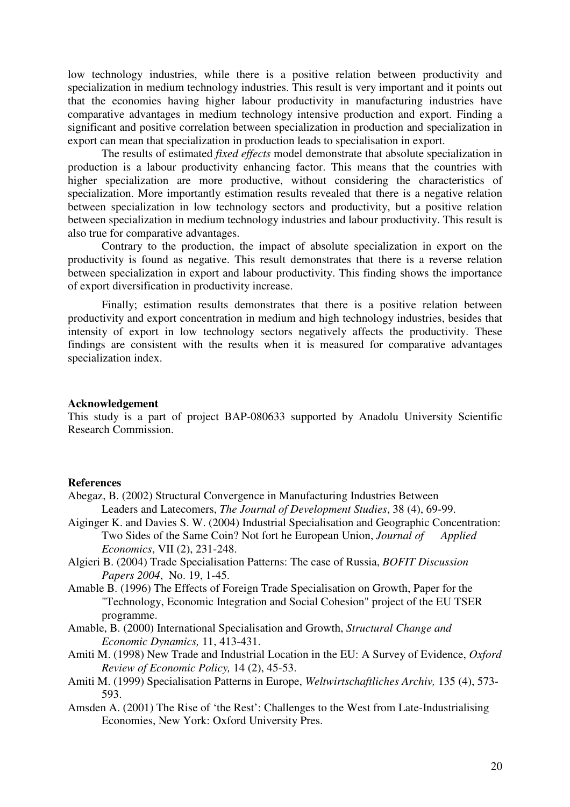low technology industries, while there is a positive relation between productivity and specialization in medium technology industries. This result is very important and it points out that the economies having higher labour productivity in manufacturing industries have comparative advantages in medium technology intensive production and export. Finding a significant and positive correlation between specialization in production and specialization in export can mean that specialization in production leads to specialisation in export.

The results of estimated *fixed effects* model demonstrate that absolute specialization in production is a labour productivity enhancing factor. This means that the countries with higher specialization are more productive, without considering the characteristics of specialization. More importantly estimation results revealed that there is a negative relation between specialization in low technology sectors and productivity, but a positive relation between specialization in medium technology industries and labour productivity. This result is also true for comparative advantages.

Contrary to the production, the impact of absolute specialization in export on the productivity is found as negative. This result demonstrates that there is a reverse relation between specialization in export and labour productivity. This finding shows the importance of export diversification in productivity increase.

Finally; estimation results demonstrates that there is a positive relation between productivity and export concentration in medium and high technology industries, besides that intensity of export in low technology sectors negatively affects the productivity. These findings are consistent with the results when it is measured for comparative advantages specialization index.

#### **Acknowledgement**

This study is a part of project BAP-080633 supported by Anadolu University Scientific Research Commission.

#### **References**

- Abegaz, B. (2002) Structural Convergence in Manufacturing Industries Between Leaders and Latecomers, *The Journal of Development Studies*, 38 (4), 69-99.
- Aiginger K. and Davies S. W. (2004) Industrial Specialisation and Geographic Concentration: Two Sides of the Same Coin? Not fort he European Union, *Journal of Applied Economics*, VII (2), 231-248.
- Algieri B. (2004) Trade Specialisation Patterns: The case of Russia, *BOFIT Discussion Papers 2004*, No. 19, 1-45.
- Amable B. (1996) The Effects of Foreign Trade Specialisation on Growth, Paper for the "Technology, Economic Integration and Social Cohesion" project of the EU TSER programme.
- Amable, B. (2000) International Specialisation and Growth, *Structural Change and Economic Dynamics,* 11, 413-431.
- Amiti M. (1998) New Trade and Industrial Location in the EU: A Survey of Evidence, *Oxford Review of Economic Policy,* 14 (2), 45-53.
- Amiti M. (1999) Specialisation Patterns in Europe, *Weltwirtschaftliches Archiv,* 135 (4), 573- 593.
- Amsden A. (2001) The Rise of 'the Rest': Challenges to the West from Late-Industrialising Economies, New York: Oxford University Pres.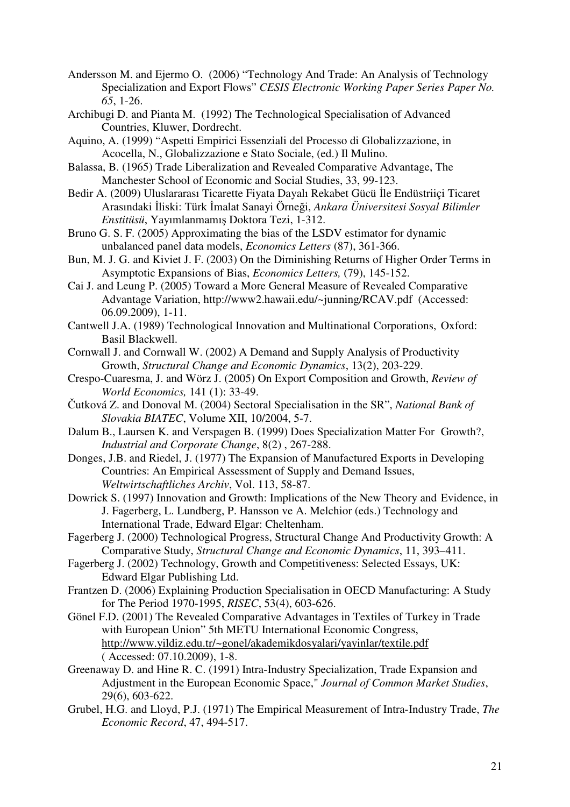- Andersson M. and Ejermo O. (2006) "Technology And Trade: An Analysis of Technology Specialization and Export Flows" *CESIS Electronic Working Paper Series Paper No. 65*, 1-26.
- Archibugi D. and Pianta M. (1992) The Technological Specialisation of Advanced Countries, Kluwer, Dordrecht.
- Aquino, A. (1999) "Aspetti Empirici Essenziali del Processo di Globalizzazione, in Acocella, N., Globalizzazione e Stato Sociale, (ed.) Il Mulino.
- Balassa, B. (1965) Trade Liberalization and Revealed Comparative Advantage, The Manchester School of Economic and Social Studies, 33, 99-123.
- Bedir A. (2009) Uluslararası Ticarette Fiyata Dayalı Rekabet Gücü İle Endüstriiçi Ticaret Arasındaki İliski: Türk İmalat Sanayi Örneği, *Ankara Üniversitesi Sosyal Bilimler Enstitüsü*, Yayımlanmamış Doktora Tezi, 1-312.
- Bruno G. S. F. (2005) Approximating the bias of the LSDV estimator for dynamic unbalanced panel data models, *Economics Letters* (87), 361-366.
- Bun, M. J. G. and Kiviet J. F. (2003) On the Diminishing Returns of Higher Order Terms in Asymptotic Expansions of Bias, *Economics Letters,* (79), 145-152.
- Cai J. and Leung P. (2005) Toward a More General Measure of Revealed Comparative Advantage Variation, http://www2.hawaii.edu/~junning/RCAV.pdf (Accessed: 06.09.2009), 1-11.
- Cantwell J.A. (1989) Technological Innovation and Multinational Corporations, Oxford: Basil Blackwell.
- Cornwall J. and Cornwall W. (2002) A Demand and Supply Analysis of Productivity Growth, *Structural Change and Economic Dynamics*, 13(2), 203-229.
- Crespo-Cuaresma, J. and Wörz J. (2005) On Export Composition and Growth, *Review of World Economics,* 141 (1): 33-49.
- Čutková Z. and Donoval M. (2004) Sectoral Specialisation in the SR", *National Bank of Slovakia BIATEC*, Volume XII, 10/2004, 5-7.
- Dalum B., Laursen K. and Verspagen B. (1999) Does Specialization Matter For Growth?, *Industrial and Corporate Change*, 8(2) , 267-288.
- Donges, J.B. and Riedel, J. (1977) The Expansion of Manufactured Exports in Developing Countries: An Empirical Assessment of Supply and Demand Issues, *Weltwirtschaftliches Archiv*, Vol. 113, 58-87.
- Dowrick S. (1997) Innovation and Growth: Implications of the New Theory and Evidence, in J. Fagerberg, L. Lundberg, P. Hansson ve A. Melchior (eds.) Technology and International Trade, Edward Elgar: Cheltenham.
- Fagerberg J. (2000) Technological Progress, Structural Change And Productivity Growth: A Comparative Study, *Structural Change and Economic Dynamics*, 11, 393–411.
- Fagerberg J. (2002) Technology, Growth and Competitiveness: Selected Essays, UK: Edward Elgar Publishing Ltd.
- Frantzen D. (2006) Explaining Production Specialisation in OECD Manufacturing: A Study for The Period 1970-1995, *RISEC*, 53(4), 603-626.
- Gönel F.D. (2001) The Revealed Comparative Advantages in Textiles of Turkey in Trade with European Union" 5th METU International Economic Congress, http://www.yildiz.edu.tr/~gonel/akademikdosyalari/yayinlar/textile.pdf ( Accessed: 07.10.2009), 1-8.
- Greenaway D. and Hine R. C. (1991) Intra-Industry Specialization, Trade Expansion and Adjustment in the European Economic Space," *Journal of Common Market Studies*, 29(6), 603-622.
- Grubel, H.G. and Lloyd, P.J. (1971) The Empirical Measurement of Intra-Industry Trade, *The Economic Record*, 47, 494-517.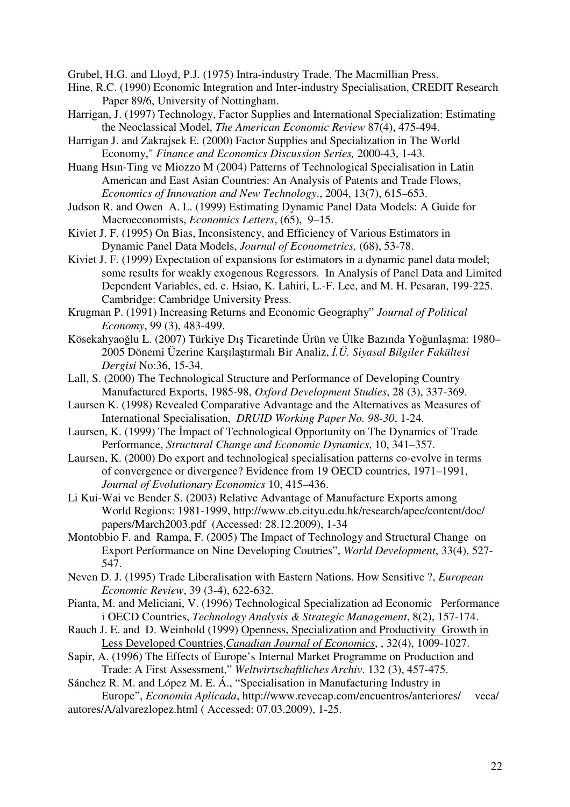Grubel, H.G. and Lloyd, P.J. (1975) Intra-industry Trade, The Macmillian Press.

- Hine, R.C. (1990) Economic Integration and Inter-industry Specialisation, CREDIT Research Paper 89/6, University of Nottingham.
- Harrigan, J. (1997) Technology, Factor Supplies and International Specialization: Estimating the Neoclassical Model, *The American Economic Review* 87(4), 475-494.
- Harrigan J. and Zakrajsek E. (2000) Factor Supplies and Specialization in The World Economy," *Finance and Economics Discussion Series,* 2000-43, 1-43.
- Huang Hsın-Ting ve Miozzo M (2004) Patterns of Technological Specialisation in Latin American and East Asian Countries: An Analysis of Patents and Trade Flows, *Economics of Innovation and New Technology*., 2004, 13(7), 615–653.
- Judson R. and Owen A. L. (1999) Estimating Dynamic Panel Data Models: A Guide for Macroeconomists, *Economics Letters*, (65), 9–15.
- Kiviet J. F. (1995) On Bias, Inconsistency, and Efficiency of Various Estimators in Dynamic Panel Data Models, *Journal of Econometrics,* (68), 53-78.
- Kiviet J. F. (1999) Expectation of expansions for estimators in a dynamic panel data model; some results for weakly exogenous Regressors. In Analysis of Panel Data and Limited Dependent Variables, ed. c. Hsiao, K. Lahiri, L.-F. Lee, and M. H. Pesaran, 199-225. Cambridge: Cambridge University Press.
- Krugman P. (1991) Increasing Returns and Economic Geography" *Journal of Political Economy*, 99 (3), 483-499.
- Kösekahyaoğlu L. (2007) Türkiye Dış Ticaretinde Ürün ve Ülke Bazında Yoğunlaşma: 1980– 2005 Dönemi Üzerine Karşılaştırmalı Bir Analiz, İ*.Ü. Siyasal Bilgiler Fakültesi Dergisi* No:36, 15-34.
- Lall, S. (2000) The Technological Structure and Performance of Developing Country Manufactured Exports, 1985-98, *Oxford Development Studies*, 28 (3), 337-369.
- Laursen K. (1998) Revealed Comparative Advantage and the Alternatives as Measures of International Specialisation, *DRUID Working Paper No. 98-30*, 1-24.
- Laursen, K. (1999) The İmpact of Technological Opportunity on The Dynamics of Trade Performance, *Structural Change and Economic Dynamics*, 10, 341–357.
- Laursen, K. (2000) Do export and technological specialisation patterns co-evolve in terms of convergence or divergence? Evidence from 19 OECD countries, 1971–1991, *Journal of Evolutionary Economics* 10, 415–436.
- Li Kui-Wai ve Bender S. (2003) Relative Advantage of Manufacture Exports among World Regions: 1981-1999, http://www.cb.cityu.edu.hk/research/apec/content/doc/ papers/March2003.pdf (Accessed: 28.12.2009), 1-34
- Montobbio F. and Rampa, F. (2005) The Impact of Technology and Structural Change on Export Performance on Nine Developing Coutries", *World Development*, 33(4), 527- 547.
- Neven D. J. (1995) Trade Liberalisation with Eastern Nations. How Sensitive ?, *European Economic Review*, 39 (3-4), 622-632.
- Pianta, M. and Meliciani, V. (1996) Technological Specialization ad Economic Performance i OECD Countries, *Technology Analysis & Strategic Management*, 8(2), 157-174.
- Rauch J. E. and D. Weinhold (1999) Openness, Specialization and Productivity Growth in Less Developed Countries,*Canadian Journal of Economics*, , 32(4), 1009-1027.
- Sapir, A. (1996) The Effects of Europe's Internal Market Programme on Production and Trade: A First Assessment," *Weltwirtschaftliches Archiv*. 132 (3), 457-475.
- Sánchez R. M. and López M. E. Á., "Specialisation in Manufacturing Industry in Europe", *Economia Aplicada*, http://www.revecap.com/encuentros/anteriores/ veea/
- autores/A/alvarezlopez.html ( Accessed: 07.03.2009), 1-25.